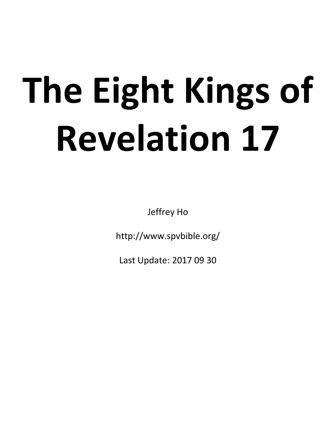# **The Eight Kings of Revelation 17**

Jeffrey Ho

http://www.spvbible.org/

Last Update: 2017 09 30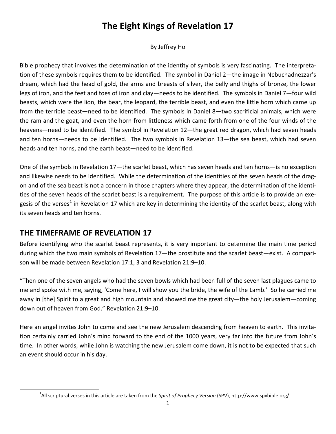# **The Eight Kings of Revelation 17**

#### By Jeffrey Ho

Bible prophecy that involves the determination of the identity of symbols is very fascinating. The interpretation of these symbols requires them to be identified. The symbol in Daniel 2—the image in Nebuchadnezzar's dream, which had the head of gold, the arms and breasts of silver, the belly and thighs of bronze, the lower legs of iron, and the feet and toes of iron and clay—needs to be identified. The symbols in Daniel 7—four wild beasts, which were the lion, the bear, the leopard, the terrible beast, and even the little horn which came up from the terrible beast—need to be identified. The symbols in Daniel 8—two sacrificial animals, which were the ram and the goat, and even the horn from littleness which came forth from one of the four winds of the heavens—need to be identified. The symbol in Revelation 12—the great red dragon, which had seven heads and ten horns—needs to be identified. The two symbols in Revelation 13—the sea beast, which had seven heads and ten horns, and the earth beast—need to be identified.

One of the symbols in Revelation 17—the scarlet beast, which has seven heads and ten horns—is no exception and likewise needs to be identified. While the determination of the identities of the seven heads of the dragon and of the sea beast is not a concern in those chapters where they appear, the determination of the identities of the seven heads of the scarlet beast is a requirement. The purpose of this article is to provide an exe-gesis of the verses<sup>[1](#page-1-0)</sup> in Revelation 17 which are key in determining the identity of the scarlet beast, along with its seven heads and ten horns.

## **THE TIMEFRAME OF REVELATION 17**

Before identifying who the scarlet beast represents, it is very important to determine the main time period during which the two main symbols of Revelation 17—the prostitute and the scarlet beast—exist. A comparison will be made between Revelation 17:1, 3 and Revelation 21:9–10.

"Then one of the seven angels who had the seven bowls which had been full of the seven last plagues came to me and spoke with me, saying, 'Come here, I will show you the bride, the wife of the Lamb.' So he carried me away in [the] Spirit to a great and high mountain and showed me the great city—the holy Jerusalem—coming down out of heaven from God." Revelation 21:9–10.

Here an angel invites John to come and see the new Jerusalem descending from heaven to earth. This invitation certainly carried John's mind forward to the end of the 1000 years, very far into the future from John's time. In other words, while John is watching the new Jerusalem come down, it is not to be expected that such an event should occur in his day.

<span id="page-1-0"></span><sup>&</sup>lt;u>1</u> All scriptural verses in this article are taken from the *Spirit of Prophecy Version* (SPV), http://www.spvbible.org/.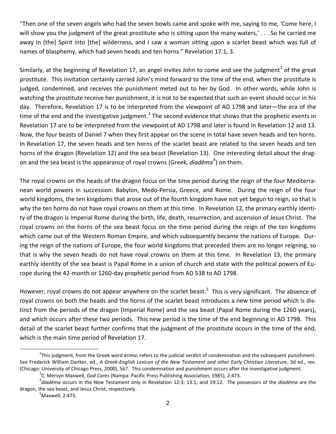"Then one of the seven angels who had the seven bowls came and spoke with me, saying to me, 'Come here, I will show you the judgment of the great prostitute who is sitting upon the many waters,' . . . So he carried me away in [the] Spirit into [the] wilderness, and I saw a woman sitting upon a scarlet beast which was full of names of blasphemy, which had seven heads and ten horns." Revelation 17:1, 3.

Similarly, at the beginning of Revelation 17, an angel invites John to come and see the judgment<sup>[2](#page-2-0)</sup> of the great prostitute. This invitation certainly carried John's mind forward to the time of the end, when the prostitute is judged, condemned, and receives the punishment meted out to her by God. In other words, while John is watching the prostitute receive her punishment, it is not to be expected that such an event should occur in his day. Therefore, Revelation 17 is to be interpreted from the viewpoint of AD 1798 and later—the era of the time of the end and the investigative judgment.<sup>[3](#page-2-1)</sup> The second evidence that shows that the prophetic events in Revelation 17 are to be interpreted from the viewpoint of AD 1798 and later is found in Revelation 12 and 13. Now, the four beasts of Daniel 7 when they first appear on the scene in total have seven heads and ten horns. In Revelation 17, the seven heads and ten horns of the scarlet beast are related to the seven heads and ten horns of the dragon (Revelation 12) and the sea beast (Revelation 13). One interesting detail about the dragon and the sea beast is the appearance of royal crowns (Greek, *diadēma*<sup>[4](#page-2-2)</sup>) on them.

The royal crowns on the heads of the dragon focus on the time period during the reign of the four Mediterranean world powers in succession: Babylon, Medo-Persia, Greece, and Rome. During the reign of the four world kingdoms, the ten kingdoms that arose out of the fourth kingdom have not yet begun to reign, so that is why the ten horns do not have royal crowns on them at this time. In Revelation 12, the primary earthly identity of the dragon is Imperial Rome during the birth, life, death, resurrection, and ascension of Jesus Christ. The royal crowns on the horns of the sea beast focus on the time period during the reign of the ten kingdoms which came out of the Western Roman Empire, and which subsequently became the nations of Europe. During the reign of the nations of Europe, the four world kingdoms that preceded them are no longer reigning, so that is why the seven heads do not have royal crowns on them at this time. In Revelation 13, the primary earthly identity of the sea beast is Papal Rome in a union of church and state with the political powers of Europe during the 42-month or 1260-day prophetic period from AD 538 to AD 1798.

However, royal crowns do not appear anywhere on the scarlet beast.<sup>[5](#page-2-3)</sup> This is very significant. The absence of royal crowns on both the heads and the horns of the scarlet beast introduces a new time period which is distinct from the periods of the dragon (Imperial Rome) and the sea beast (Papal Rome during the 1260 years), and which occurs after these two periods. This new period is the time of the end beginning in AD 1798. This detail of the scarlet beast further confirms that the judgment of the prostitute occurs in the time of the end, which is the main time period of Revelation 17.

<span id="page-2-0"></span> $\overline{\phantom{a}}$ <sup>2</sup>This judgment, from the Greek word *krima*, refers to the judicial verdict of condemnation and the subsequent punishment. See Frederick William Danker, ed., *A Greek-English Lexicon of the New Testament and other Early Christian Literature*, 3d ed., rev. (Chicago: University of Chicago Press, 2000), 567. This condemnation and punishment occurs after the investigative judgment. <sup>3</sup>

<sup>&</sup>lt;sup>3</sup>C. Mervyn Maxwell, *God Cares* (Nampa: Pacific Press Publishing Association, 1985), 2:473.

<span id="page-2-3"></span><span id="page-2-2"></span><span id="page-2-1"></span>*diadēma* occurs in the New Testament only in Revelation 12:3; 13:1; and 19:12. The possessors of the *diadēma* are the dragon, the sea beast, and Jesus Christ, respectively.

 $<sup>5</sup>$ Maxwell, 2:473.</sup>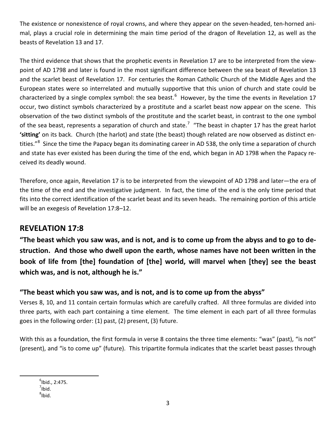The existence or nonexistence of royal crowns, and where they appear on the seven-headed, ten-horned animal, plays a crucial role in determining the main time period of the dragon of Revelation 12, as well as the beasts of Revelation 13 and 17.

The third evidence that shows that the prophetic events in Revelation 17 are to be interpreted from the viewpoint of AD 1798 and later is found in the most significant difference between the sea beast of Revelation 13 and the scarlet beast of Revelation 17. For centuries the Roman Catholic Church of the Middle Ages and the European states were so interrelated and mutually supportive that this union of church and state could be characterized by a single complex symbol: the sea beast.<sup>[6](#page-3-0)</sup> However, by the time the events in Revelation 17 occur, two distinct symbols characterized by a prostitute and a scarlet beast now appear on the scene. This observation of the two distinct symbols of the prostitute and the scarlet beast, in contrast to the one symbol of the sea beast, represents a separation of church and state.<sup>[7](#page-3-1)</sup> "The beast in chapter 17 has the great harlot **'sitting'** on its back. Church (the harlot) and state (the beast) though related are now observed as distinct en-tities."<sup>[8](#page-3-2)</sup> Since the time the Papacy began its dominating career in AD 538, the only time a separation of church and state has ever existed has been during the time of the end, which began in AD 1798 when the Papacy received its deadly wound.

Therefore, once again, Revelation 17 is to be interpreted from the viewpoint of AD 1798 and later—the era of the time of the end and the investigative judgment. In fact, the time of the end is the only time period that fits into the correct identification of the scarlet beast and its seven heads. The remaining portion of this article will be an exegesis of Revelation 17:8–12.

## **REVELATION 17:8**

**"The beast which you saw was, and is not, and is to come up from the abyss and to go to destruction. And those who dwell upon the earth, whose names have not been written in the book of life from [the] foundation of [the] world, will marvel when [they] see the beast which was, and is not, although he is."**

## **"The beast which you saw was, and is not, and is to come up from the abyss"**

Verses 8, 10, and 11 contain certain formulas which are carefully crafted. All three formulas are divided into three parts, with each part containing a time element. The time element in each part of all three formulas goes in the following order: (1) past, (2) present, (3) future.

With this as a foundation, the first formula in verse 8 contains the three time elements: "was" (past), "is not" (present), and "is to come up" (future). This tripartite formula indicates that the scarlet beast passes through

<span id="page-3-2"></span><span id="page-3-1"></span><span id="page-3-0"></span> 6  $<sup>6</sup>$ Ibid., 2:475.</sup>  $7$ Ibid.  $^8$ Ibid.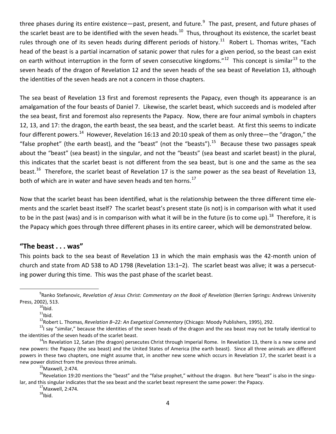three phases during its entire existence—past, present, and future.<sup>[9](#page-4-0)</sup> The past, present, and future phases of the scarlet beast are to be identified with the seven heads.<sup>[10](#page-4-1)</sup> Thus, throughout its existence, the scarlet beast rules through one of its seven heads during different periods of history.<sup>11</sup> Robert L. Thomas writes, "Each head of the beast is a partial incarnation of satanic power that rules for a given period, so the beast can exist on earth without interruption in the form of seven consecutive kingdoms."<sup>[12](#page-4-3)</sup> This concept is similar<sup>[13](#page-4-4)</sup> to the seven heads of the dragon of Revelation 12 and the seven heads of the sea beast of Revelation 13, although the identities of the seven heads are not a concern in those chapters.

The sea beast of Revelation 13 first and foremost represents the Papacy, even though its appearance is an amalgamation of the four beasts of Daniel 7. Likewise, the scarlet beast, which succeeds and is modeled after the sea beast, first and foremost also represents the Papacy. Now, there are four animal symbols in chapters 12, 13, and 17: the dragon, the earth beast, the sea beast, and the scarlet beast. At first this seems to indicate four different powers.<sup>14</sup> However, Revelation 16:13 and 20:10 speak of them as only three—the "dragon," the "false prophet" (the earth beast), and the "beast" (not the "beasts"). $^{15}$  Because these two passages speak about the "beast" (sea beast) in the singular, and not the "beasts" (sea beast and scarlet beast) in the plural, this indicates that the scarlet beast is not different from the sea beast, but is one and the same as the sea beast.<sup>[16](#page-4-7)</sup> Therefore, the scarlet beast of Revelation 17 is the same power as the sea beast of Revelation 13, both of which are in water and have seven heads and ten horns.<sup>[17](#page-4-8)</sup>

Now that the scarlet beast has been identified, what is the relationship between the three different time elements and the scarlet beast itself? The scarlet beast's present state (is not) is in comparison with what it used to be in the past (was) and is in comparison with what it will be in the future (is to come up).<sup>18</sup> Therefore, it is the Papacy which goes through three different phases in its entire career, which will be demonstrated below.

### **"The beast . . . was"**

This points back to the sea beast of Revelation 13 in which the main emphasis was the 42-month union of church and state from AD 538 to AD 1798 (Revelation 13:1–2). The scarlet beast was alive; it was a persecuting power during this time. This was the past phase of the scarlet beast.

<sup>11</sup>lbid.<br><sup>12</sup>Robert L. Thomas, *Revelation 8–22: An Exegetical Commentary* (Chicago: Moody Publishers, 1995), 292.

<span id="page-4-1"></span><span id="page-4-0"></span> <sup>9</sup> Ranko Stefanovic, *Revelation of Jesus Christ: Commentary on the Book of Revelation* (Berrien Springs: Andrews University Press, 2002), 513.<br> $^{10}$ Ibid.

<span id="page-4-4"></span><span id="page-4-3"></span><span id="page-4-2"></span> $^{13}$ I say "similar," because the identities of the seven heads of the dragon and the sea beast may not be totally identical to the identities of the seven heads of the scarlet beast.

<span id="page-4-5"></span> $14$ In Revelation 12, Satan (the dragon) persecutes Christ through Imperial Rome. In Revelation 13, there is a new scene and new powers: the Papacy (the sea beast) and the United States of America (the earth beast). Since all three animals are different powers in these two chapters, one might assume that, in another new scene which occurs in Revelation 17, the scarlet beast is a new power distinct from the previous three animals.<br> $15$ Maxwell, 2:474.

<span id="page-4-9"></span><span id="page-4-8"></span><span id="page-4-7"></span><span id="page-4-6"></span><sup>&</sup>lt;sup>16</sup>Revelation 19:20 mentions the "beast" and the "false prophet," without the dragon. But here "beast" is also in the singular, and this singular indicates that the sea beast and the scarlet beast represent the same power: the Papacy.<br><sup>17</sup>Maxwell, 2:474.

 $18$ Ibid.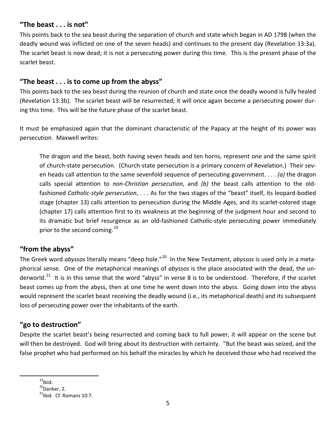#### **"The beast . . . is not"**

This points back to the sea beast during the separation of church and state which began in AD 1798 (when the deadly wound was inflicted on one of the seven heads) and continues to the present day (Revelation 13:3a). The scarlet beast is now dead; it is not a persecuting power during this time. This is the present phase of the scarlet beast.

#### **"The beast . . . is to come up from the abyss"**

This points back to the sea beast during the reunion of church and state once the deadly wound is fully healed (Revelation 13:3b). The scarlet beast will be resurrected; it will once again become a persecuting power during this time. This will be the future phase of the scarlet beast.

It must be emphasized again that the dominant characteristic of the Papacy at the height of its power was persecution. Maxwell writes:

The dragon and the beast, both having seven heads and ten horns, represent one and the same spirit of church-state persecution. (Church-state persecution is a primary concern of Revelation.) Their seven heads call attention to the same sevenfold sequence of persecuting government. . . . *(a)* the dragon calls special attention to *non-Christian persecution*, and *(b)* the beast calls attention to the oldfashioned *Catholic-style persecution*, . . . As for the two stages of the "beast" itself, its leopard-bodied stage (chapter 13) calls attention to persecution during the Middle Ages, and its scarlet-colored stage (chapter 17) calls attention first to its weakness at the beginning of the judgment hour and second to its dramatic but brief resurgence as an old-fashioned Catholic-style persecuting power immediately prior to the second coming.<sup>[19](#page-5-0)</sup>

#### **"from the abyss"**

The Greek word *abyssos* literally means "deep hole."[20](#page-5-1) In the New Testament, *abyssos* is used only in a metaphorical sense. One of the metaphorical meanings of *abyssos* is the place associated with the dead, the un-derworld.<sup>[21](#page-5-2)</sup> It is in this sense that the word "abyss" in verse 8 is to be understood. Therefore, if the scarlet beast comes up from the abyss, then at one time he went down into the abyss. Going down into the abyss would represent the scarlet beast receiving the deadly wound (i.e., its metaphorical death) and its subsequent loss of persecuting power over the inhabitants of the earth.

### **"go to destruction"**

Despite the scarlet beast's being resurrected and coming back to full power, it will appear on the scene but will then be destroyed. God will bring about its destruction with certainty. "But the beast was seized, and the false prophet who had performed on his behalf the miracles by which he deceived those who had received the

<span id="page-5-0"></span> $19$ Ibid.

<span id="page-5-1"></span> $^{20}$ Danker, 2.

<span id="page-5-2"></span> $^{21}$ Ibid. Cf. Romans 10:7.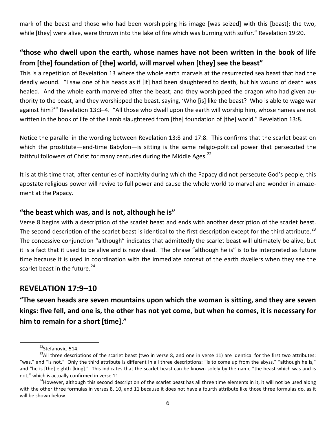mark of the beast and those who had been worshipping his image [was seized] with this [beast]; the two, while [they] were alive, were thrown into the lake of fire which was burning with sulfur." Revelation 19:20.

## **"those who dwell upon the earth, whose names have not been written in the book of life from [the] foundation of [the] world, will marvel when [they] see the beast"**

This is a repetition of Revelation 13 where the whole earth marvels at the resurrected sea beast that had the deadly wound. "I saw one of his heads as if [it] had been slaughtered to death, but his wound of death was healed. And the whole earth marveled after the beast; and they worshipped the dragon who had given authority to the beast, and they worshipped the beast, saying, 'Who [is] like the beast? Who is able to wage war against him?'" Revelation 13:3–4. "All those who dwell upon the earth will worship him, whose names are not written in the book of life of the Lamb slaughtered from [the] foundation of [the] world." Revelation 13:8.

Notice the parallel in the wording between Revelation 13:8 and 17:8. This confirms that the scarlet beast on which the prostitute—end-time Babylon—is sitting is the same religio-political power that persecuted the faithful followers of Christ for many centuries during the Middle Ages. $^{22}$  $^{22}$  $^{22}$ 

It is at this time that, after centuries of inactivity during which the Papacy did not persecute God's people, this apostate religious power will revive to full power and cause the whole world to marvel and wonder in amazement at the Papacy.

#### **"the beast which was, and is not, although he is"**

Verse 8 begins with a description of the scarlet beast and ends with another description of the scarlet beast. The second description of the scarlet beast is identical to the first description except for the third attribute.<sup>[23](#page-6-1)</sup> The concessive conjunction "although" indicates that admittedly the scarlet beast will ultimately be alive, but it is a fact that it used to be alive and is now dead. The phrase "although he is" is to be interpreted as future time because it is used in coordination with the immediate context of the earth dwellers when they see the scarlet beast in the future.<sup>[24](#page-6-2)</sup>

## **REVELATION 17:9–10**

**"The seven heads are seven mountains upon which the woman is sitting, and they are seven kings: five fell, and one is, the other has not yet come, but when he comes, it is necessary for him to remain for a short [time]."**

<sup>&</sup>lt;sup>22</sup>Stefanovic, 514.

<span id="page-6-1"></span><span id="page-6-0"></span><sup>&</sup>lt;sup>23</sup>All three descriptions of the scarlet beast (two in verse 8, and one in verse 11) are identical for the first two attributes: "was," and "is not." Only the third attribute is different in all three descriptions: "is to come up from the abyss," "although he is," and "he is [the] eighth [king]." This indicates that the scarlet beast can be known solely by the name "the beast which was and is not," which is actually confirmed in verse 11.

<span id="page-6-2"></span> $^{24}$ However, although this second description of the scarlet beast has all three time elements in it, it will not be used along with the other three formulas in verses 8, 10, and 11 because it does not have a fourth attribute like those three formulas do, as it will be shown below.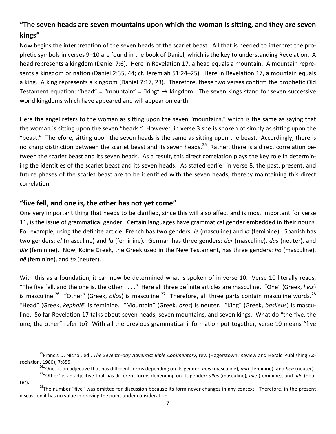## **"The seven heads are seven mountains upon which the woman is sitting, and they are seven kings"**

Now begins the interpretation of the seven heads of the scarlet beast. All that is needed to interpret the prophetic symbols in verses 9–10 are found in the book of Daniel, which is the key to understanding Revelation. A head represents a kingdom (Daniel 7:6). Here in Revelation 17, a head equals a mountain. A mountain represents a kingdom or nation (Daniel 2:35, 44; cf. Jeremiah 51:24–25). Here in Revelation 17, a mountain equals a king. A king represents a kingdom (Daniel 7:17, 23). Therefore, these two verses confirm the prophetic Old Testament equation: "head" = "mountain" = "king"  $\rightarrow$  kingdom. The seven kings stand for seven successive world kingdoms which have appeared and will appear on earth.

Here the angel refers to the woman as sitting upon the seven "mountains," which is the same as saying that the woman is sitting upon the seven "heads." However, in verse 3 she is spoken of simply as sitting upon the "beast." Therefore, sitting upon the seven heads is the same as sitting upon the beast. Accordingly, there is no sharp distinction between the scarlet beast and its seven heads.<sup>25</sup> Rather, there is a direct correlation between the scarlet beast and its seven heads. As a result, this direct correlation plays the key role in determining the identities of the scarlet beast and its seven heads. As stated earlier in verse 8, the past, present, and future phases of the scarlet beast are to be identified with the seven heads, thereby maintaining this direct correlation.

#### **"five fell, and one is, the other has not yet come"**

One very important thing that needs to be clarified, since this will also affect and is most important for verse 11, is the issue of grammatical gender. Certain languages have grammatical gender embedded in their nouns. For example, using the definite article, French has two genders: *le* (masculine) and *la* (feminine). Spanish has two genders: *el* (masculine) and *la* (feminine). German has three genders: *der* (masculine), *das* (neuter), and *die* (feminine). Now, Koine Greek, the Greek used in the New Testament, has three genders: *ho* (masculine), *hē* (feminine), and *to* (neuter).

With this as a foundation, it can now be determined what is spoken of in verse 10. Verse 10 literally reads, "The five fell, and the one is, the other . . . ." Here all three definite articles are masculine. "One" (Greek, *heis*) is masculine.<sup>[26](#page-7-1)</sup> "Other" (Greek, *allos*) is masculine.<sup>27</sup> Therefore, all three parts contain masculine words.<sup>[28](#page-7-3)</sup> "Head" (Greek, *kephalē*) is feminine. "Mountain" (Greek, *oros*) is neuter. "King" (Greek, *basileus*) is masculine. So far Revelation 17 talks about seven heads, seven mountains, and seven kings. What do "the five, the one, the other" refer to? With all the previous grammatical information put together, verse 10 means "five

<span id="page-7-1"></span><span id="page-7-0"></span><sup>&</sup>lt;sup>25</sup>Francis D. Nichol, ed., *The Seventh-day Adventist Bible Commentary*, rev. (Hagerstown: Review and Herald Publishing Association, 1980), 7:855.

<sup>&</sup>lt;sup>26</sup>"One" is an adjective that has different forms depending on its gender: *heis* (masculine), *mia* (feminine), and *hen* (neuter).<br><sup>27</sup>"Other" is an adjective that has different forms depending on its gender: *allos* (m

<span id="page-7-3"></span><span id="page-7-2"></span>ter).<br><sup>28</sup>The number "five" was omitted for discussion because its form never changes in any context. Therefore, in the present discussion it has no value in proving the point under consideration.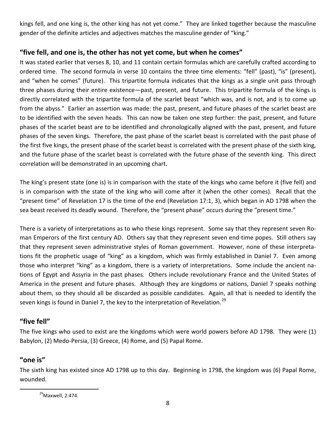kings fell, and one king is, the other king has not yet come." They are linked together because the masculine gender of the definite articles and adjectives matches the masculine gender of "king."

#### **"five fell, and one is, the other has not yet come, but when he comes"**

It was stated earlier that verses 8, 10, and 11 contain certain formulas which are carefully crafted according to ordered time. The second formula in verse 10 contains the three time elements: "fell" (past), "is" (present), and "when he comes" (future). This tripartite formula indicates that the kings as a single unit pass through three phases during their entire existence—past, present, and future. This tripartite formula of the kings is directly correlated with the tripartite formula of the scarlet beast "which was, and is not, and is to come up from the abyss." Earlier an assertion was made: the past, present, and future phases of the scarlet beast are to be identified with the seven heads. This can now be taken one step further: the past, present, and future phases of the scarlet beast are to be identified and chronologically aligned with the past, present, and future phases of the seven kings. Therefore, the past phase of the scarlet beast is correlated with the past phase of the first five kings, the present phase of the scarlet beast is correlated with the present phase of the sixth king, and the future phase of the scarlet beast is correlated with the future phase of the seventh king. This direct correlation will be demonstrated in an upcoming chart.

The king's present state (one is) is in comparison with the state of the kings who came before it (five fell) and is in comparison with the state of the king who will come after it (when the other comes). Recall that the "present time" of Revelation 17 is the time of the end (Revelation 17:1, 3), which began in AD 1798 when the sea beast received its deadly wound. Therefore, the "present phase" occurs during the "present time."

There is a variety of interpretations as to who these kings represent. Some say that they represent seven Roman Emperors of the first century AD. Others say that they represent seven end-time popes. Still others say that they represent seven administrative styles of Roman government. However, none of these interpretations fit the prophetic usage of "king" as a kingdom, which was firmly established in Daniel 7. Even among those who interpret "king" as a kingdom, there is a variety of interpretations. Some include the ancient nations of Egypt and Assyria in the past phases. Others include revolutionary France and the United States of America in the present and future phases. Although they are kingdoms or nations, Daniel 7 speaks nothing about them, so they should all be discarded as possible candidates. Again, all that is needed to identify the seven kings is found in Daniel 7, the key to the interpretation of Revelation.<sup>[29](#page-8-0)</sup>

### **"five fell"**

The five kings who used to exist are the kingdoms which were world powers before AD 1798. They were (1) Babylon, (2) Medo-Persia, (3) Greece, (4) Rome, and (5) Papal Rome.

#### **"one is"**

<span id="page-8-0"></span>The sixth king has existed since AD 1798 up to this day. Beginning in 1798, the kingdom was (6) Papal Rome, wounded.

 $29$ Maxwell, 2:474.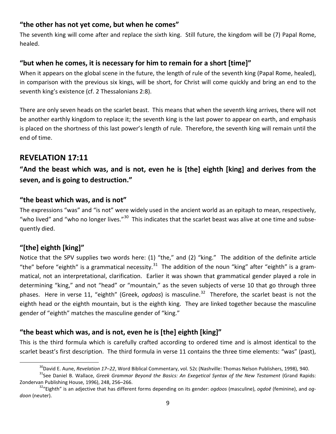### **"the other has not yet come, but when he comes"**

The seventh king will come after and replace the sixth king. Still future, the kingdom will be (7) Papal Rome, healed.

#### **"but when he comes, it is necessary for him to remain for a short [time]"**

When it appears on the global scene in the future, the length of rule of the seventh king (Papal Rome, healed), in comparison with the previous six kings, will be short, for Christ will come quickly and bring an end to the seventh king's existence (cf. 2 Thessalonians 2:8).

There are only seven heads on the scarlet beast. This means that when the seventh king arrives, there will not be another earthly kingdom to replace it; the seventh king is the last power to appear on earth, and emphasis is placed on the shortness of this last power's length of rule. Therefore, the seventh king will remain until the end of time.

## **REVELATION 17:11**

**"And the beast which was, and is not, even he is [the] eighth [king] and derives from the seven, and is going to destruction."**

#### **"the beast which was, and is not"**

The expressions "was" and "is not" were widely used in the ancient world as an epitaph to mean, respectively, "who lived" and "who no longer lives."<sup>[30](#page-9-0)</sup> This indicates that the scarlet beast was alive at one time and subsequently died.

## **"[the] eighth [king]"**

Notice that the SPV supplies two words here: (1) "the," and (2) "king." The addition of the definite article "the" before "eighth" is a grammatical necessity.<sup>[31](#page-9-1)</sup> The addition of the noun "king" after "eighth" is a grammatical, not an interpretational, clarification. Earlier it was shown that grammatical gender played a role in determining "king," and not "head" or "mountain," as the seven subjects of verse 10 that go through three phases. Here in verse 11, "eighth" (Greek, *ogdoos*) is masculine.<sup>[32](#page-9-2)</sup> Therefore, the scarlet beast is not the eighth head or the eighth mountain, but is the eighth king. They are linked together because the masculine gender of "eighth" matches the masculine gender of "king."

## **"the beast which was, and is not, even he is [the] eighth [king]"**

This is the third formula which is carefully crafted according to ordered time and is almost identical to the scarlet beast's first description. The third formula in verse 11 contains the three time elements: "was" (past),

<span id="page-9-1"></span><span id="page-9-0"></span><sup>&</sup>lt;sup>30</sup>David E. Aune, *Revelation 17–22*, Word Biblical Commentary, vol. 52c (Nashville: Thomas Nelson Publishers, 1998), 940.<br><sup>31</sup>See Daniel B. Wallace, *Greek Grammar Beyond the Basics: An Exegetical Syntax of the New Testa* Zondervan Publishing House, 1996), 248, 256–266. 32"Eighth" is an adjective that has different forms depending on its gender: *ogdoos* (masculine), *ogdoē* (feminine), and *og-*

<span id="page-9-2"></span>*doon* (neuter).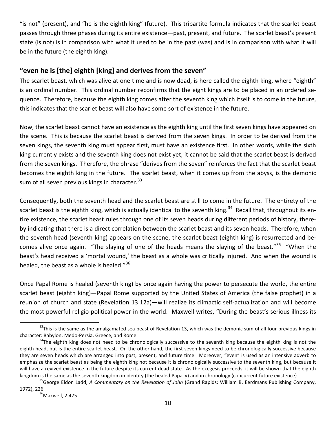"is not" (present), and "he is the eighth king" (future). This tripartite formula indicates that the scarlet beast passes through three phases during its entire existence—past, present, and future. The scarlet beast's present state (is not) is in comparison with what it used to be in the past (was) and is in comparison with what it will be in the future (the eighth king).

#### **"even he is [the] eighth [king] and derives from the seven"**

The scarlet beast, which was alive at one time and is now dead, is here called the eighth king, where "eighth" is an ordinal number. This ordinal number reconfirms that the eight kings are to be placed in an ordered sequence. Therefore, because the eighth king comes after the seventh king which itself is to come in the future, this indicates that the scarlet beast will also have some sort of existence in the future.

Now, the scarlet beast cannot have an existence as the eighth king until the first seven kings have appeared on the scene. This is because the scarlet beast is derived from the seven kings. In order to be derived from the seven kings, the seventh king must appear first, must have an existence first. In other words, while the sixth king currently exists and the seventh king does not exist yet, it cannot be said that the scarlet beast is derived from the seven kings. Therefore, the phrase "derives from the seven" reinforces the fact that the scarlet beast becomes the eighth king in the future. The scarlet beast, when it comes up from the abyss, is the demonic sum of all seven previous kings in character.<sup>[33](#page-10-0)</sup>

Consequently, both the seventh head and the scarlet beast are still to come in the future. The entirety of the scarlet beast is the eighth king, which is actually identical to the seventh king.<sup>34</sup> Recall that, throughout its entire existence, the scarlet beast rules through one of its seven heads during different periods of history, thereby indicating that there is a direct correlation between the scarlet beast and its seven heads. Therefore, when the seventh head (seventh king) appears on the scene, the scarlet beast (eighth king) is resurrected and be-comes alive once again. "The slaying of one of the heads means the slaying of the beast."<sup>[35](#page-10-2)</sup> "When the beast's head received a 'mortal wound,' the beast as a whole was critically injured. And when the wound is healed, the beast as a whole is healed."<sup>[36](#page-10-3)</sup>

Once Papal Rome is healed (seventh king) by once again having the power to persecute the world, the entire scarlet beast (eighth king)—Papal Rome supported by the United States of America (the false prophet) in a reunion of church and state (Revelation 13:12a)—will realize its climactic self-actualization and will become the most powerful religio-political power in the world. Maxwell writes, "During the beast's serious illness its

<span id="page-10-0"></span><sup>&</sup>lt;sup>33</sup>This is the same as the amalgamated sea beast of Revelation 13, which was the demonic sum of all four previous kings in character: Babylon, Medo-Persia, Greece, and Rome.

<span id="page-10-1"></span> $34$ The eighth king does not need to be chronologically successive to the seventh king because the eighth king is not the eighth head, but is the entire scarlet beast. On the other hand, the first seven kings need to be chronologically successive because they are seven heads which are arranged into past, present, and future time. Moreover, "even" is used as an intensive adverb to emphasize the scarlet beast as being the eighth king not because it is chronologically successive to the seventh king, but because it will have a revived existence in the future despite its current dead state. As the exegesis proceeds, it will be shown that the eighth kingdom is the same as the seventh kingdom in identity (the healed Papacy) and in chronology (concurrent future existence).<br><sup>35</sup>George Eldon Ladd, *A Commentary on the Revelation of John* (Grand Rapids: William B. Eerdman

<span id="page-10-2"></span>

<span id="page-10-3"></span><sup>1972), 226.&</sup>lt;br><sup>36</sup>Maxwell, 2:475.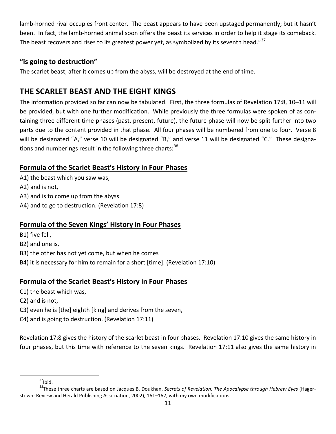lamb-horned rival occupies front center. The beast appears to have been upstaged permanently; but it hasn't been. In fact, the lamb-horned animal soon offers the beast its services in order to help it stage its comeback. The beast recovers and rises to its greatest power yet, as symbolized by its seventh head."<sup>[37](#page-11-0)</sup>

## **"is going to destruction"**

The scarlet beast, after it comes up from the abyss, will be destroyed at the end of time.

## **THE SCARLET BEAST AND THE EIGHT KINGS**

The information provided so far can now be tabulated. First, the three formulas of Revelation 17:8, 10–11 will be provided, but with one further modification. While previously the three formulas were spoken of as containing three different time phases (past, present, future), the future phase will now be split further into two parts due to the content provided in that phase. All four phases will be numbered from one to four. Verse 8 will be designated "A," verse 10 will be designated "B," and verse 11 will be designated "C." These designations and numberings result in the following three charts:  $38$ 

## **Formula of the Scarlet Beast's History in Four Phases**

A1) the beast which you saw was, A2) and is not, A3) and is to come up from the abyss A4) and to go to destruction. (Revelation 17:8)

## **Formula of the Seven Kings' History in Four Phases**

B1) five fell, B2) and one is, B3) the other has not yet come, but when he comes B4) it is necessary for him to remain for a short [time]. (Revelation 17:10)

## **Formula of the Scarlet Beast's History in Four Phases**

C1) the beast which was,

- C2) and is not,
- C3) even he is [the] eighth [king] and derives from the seven,
- C4) and is going to destruction. (Revelation 17:11)

Revelation 17:8 gives the history of the scarlet beast in four phases. Revelation 17:10 gives the same history in four phases, but this time with reference to the seven kings. Revelation 17:11 also gives the same history in

 $37$ Ibid.

<span id="page-11-1"></span><span id="page-11-0"></span><sup>38</sup>These three charts are based on Jacques B. Doukhan, *Secrets of Revelation: The Apocalypse through Hebrew Eyes* (Hagerstown: Review and Herald Publishing Association, 2002), 161–162, with my own modifications.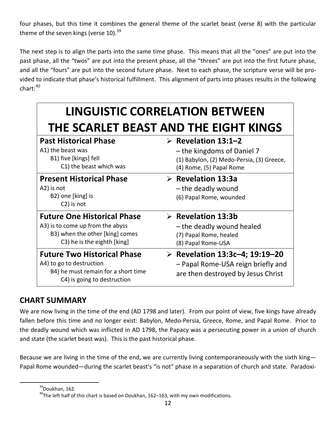four phases, but this time it combines the general theme of the scarlet beast (verse 8) with the particular theme of the seven kings (verse  $10$ ).<sup>[39](#page-12-0)</sup>

The next step is to align the parts into the same time phase. This means that all the "ones" are put into the past phase, all the "twos" are put into the present phase, all the "threes" are put into the first future phase, and all the "fours" are put into the second future phase. Next to each phase, the scripture verse will be provided to indicate that phase's historical fulfillment. This alignment of parts into phases results in the following  $chart: <sup>40</sup>$  $chart: <sup>40</sup>$  $chart: <sup>40</sup>$ 

| <b>LINGUISTIC CORRELATION BETWEEN</b>                                                                                                    |                                                                                                                                           |  |
|------------------------------------------------------------------------------------------------------------------------------------------|-------------------------------------------------------------------------------------------------------------------------------------------|--|
| THE SCARLET BEAST AND THE EIGHT KINGS                                                                                                    |                                                                                                                                           |  |
| <b>Past Historical Phase</b><br>A1) the beast was<br>B1) five [kings] fell<br>C1) the beast which was                                    | $\triangleright$ Revelation 13:1-2<br>- the kingdoms of Daniel 7<br>(1) Babylon, (2) Medo-Persia, (3) Greece,<br>(4) Rome, (5) Papal Rome |  |
| <b>Present Historical Phase</b><br>A2) is not<br>B2) one [king] is<br>C <sub>2</sub> ) is not                                            | $\triangleright$ Revelation 13:3a<br>- the deadly wound<br>(6) Papal Rome, wounded                                                        |  |
| <b>Future One Historical Phase</b><br>A3) is to come up from the abyss<br>B3) when the other [king] comes<br>C3) he is the eighth [king] | $\triangleright$ Revelation 13:3b<br>- the deadly wound healed<br>(7) Papal Rome, healed<br>(8) Papal Rome-USA                            |  |
| <b>Future Two Historical Phase</b><br>A4) to go to destruction<br>B4) he must remain for a short time<br>C4) is going to destruction     | <b>EXECUTE: Probably Revelation 13:3c-4; 19:19-20</b><br>- Papal Rome-USA reign briefly and<br>are then destroyed by Jesus Christ         |  |

## **CHART SUMMARY**

We are now living in the time of the end (AD 1798 and later). From our point of view, five kings have already fallen before this time and no longer exist: Babylon, Medo-Persia, Greece, Rome, and Papal Rome. Prior to the deadly wound which was inflicted in AD 1798, the Papacy was a persecuting power in a union of church and state (the scarlet beast was). This is the past historical phase.

<span id="page-12-0"></span>Because we are living in the time of the end, we are currently living contemporaneously with the sixth king— Papal Rome wounded—during the scarlet beast's "is not" phase in a separation of church and state. Paradoxi-

<sup>39</sup>Doukhan, 162.

<span id="page-12-1"></span> $^{40}$ The left half of this chart is based on Doukhan, 162–163, with my own modifications.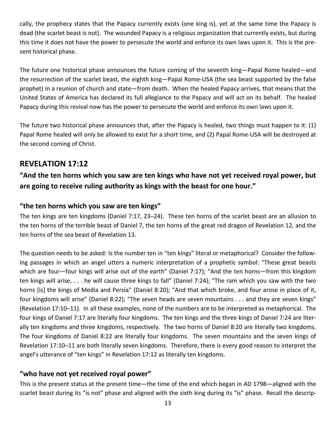cally, the prophecy states that the Papacy currently exists (one king is), yet at the same time the Papacy is dead (the scarlet beast is not). The wounded Papacy is a religious organization that currently exists, but during this time it does not have the power to persecute the world and enforce its own laws upon it. This is the present historical phase.

The future one historical phase announces the future coming of the seventh king—Papal Rome healed—and the resurrection of the scarlet beast, the eighth king—Papal Rome-USA (the sea beast supported by the false prophet) in a reunion of church and state—from death. When the healed Papacy arrives, that means that the United States of America has declared its full allegiance to the Papacy and will act on its behalf. The healed Papacy during this revival now has the power to persecute the world and enforce its own laws upon it.

The future two historical phase announces that, after the Papacy is healed, two things must happen to it: (1) Papal Rome healed will only be allowed to exist for a short time, and (2) Papal Rome-USA will be destroyed at the second coming of Christ.

## **REVELATION 17:12**

## **"And the ten horns which you saw are ten kings who have not yet received royal power, but are going to receive ruling authority as kings with the beast for one hour."**

#### **"the ten horns which you saw are ten kings"**

The ten kings are ten kingdoms (Daniel 7:17, 23–24). These ten horns of the scarlet beast are an allusion to the ten horns of the terrible beast of Daniel 7, the ten horns of the great red dragon of Revelation 12, and the ten horns of the sea beast of Revelation 13.

The question needs to be asked: Is the number ten in "ten kings" literal or metaphorical? Consider the following passages in which an angel utters a numeric interpretation of a prophetic symbol: "These great beasts which are four—four kings will arise out of the earth" (Daniel 7:17); "And the ten horns—from this kingdom ten kings will arise, . . . he will cause three kings to fall" (Daniel 7:24); "The ram which you saw with the two horns [is] the kings of Media and Persia" (Daniel 8:20); "And that which broke, and four arose in place of it, four kingdoms will arise" (Daniel 8:22); "The seven heads are seven mountains . . . and they are seven kings" (Revelation 17:10–11). In all these examples, none of the numbers are to be interpreted as metaphorical. The four kings of Daniel 7:17 are literally four kingdoms. The ten kings and the three kings of Daniel 7:24 are literally ten kingdoms and three kingdoms, respectively. The two horns of Daniel 8:20 are literally two kingdoms. The four kingdoms of Daniel 8:22 are literally four kingdoms. The seven mountains and the seven kings of Revelation 17:10–11 are both literally seven kingdoms. Therefore, there is every good reason to interpret the angel's utterance of "ten kings" in Revelation 17:12 as literally ten kingdoms.

#### **"who have not yet received royal power"**

This is the present status at the present time—the time of the end which began in AD 1798—aligned with the scarlet beast during its "is not" phase and aligned with the sixth king during its "is" phase. Recall the descrip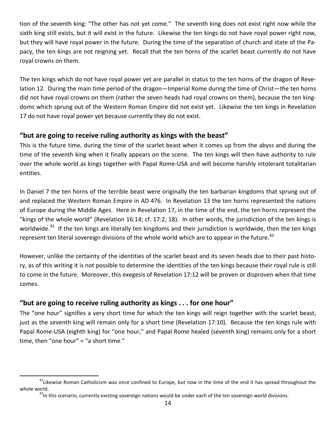tion of the seventh king: "The other has not yet come." The seventh king does not exist right now while the sixth king still exists, but it will exist in the future. Likewise the ten kings do not have royal power right now, but they will have royal power in the future. During the time of the separation of church and state of the Papacy, the ten kings are not reigning yet. Recall that the ten horns of the scarlet beast currently do not have royal crowns on them.

The ten kings which do not have royal power yet are parallel in status to the ten horns of the dragon of Revelation 12. During the main time period of the dragon—Imperial Rome during the time of Christ—the ten horns did not have royal crowns on them (rather the seven heads had royal crowns on them), because the ten kingdoms which sprung out of the Western Roman Empire did not exist yet. Likewise the ten kings in Revelation 17 do not have royal power yet because currently they do not exist.

#### **"but are going to receive ruling authority as kings with the beast"**

This is the future time, during the time of the scarlet beast when it comes up from the abyss and during the time of the seventh king when it finally appears on the scene. The ten kings will then have authority to rule over the whole world as kings together with Papal Rome-USA and will become harshly intolerant totalitarian entities.

In Daniel 7 the ten horns of the terrible beast were originally the ten barbarian kingdoms that sprung out of and replaced the Western Roman Empire in AD 476. In Revelation 13 the ten horns represented the nations of Europe during the Middle Ages. Here in Revelation 17, in the time of the end, the ten horns represent the "kings of the whole world" (Revelation 16:14; cf. 17:2, 18). In other words, the jurisdiction of the ten kings is worldwide.<sup>[41](#page-14-0)</sup> If the ten kings are literally ten kingdoms and their jurisdiction is worldwide, then the ten kings represent ten literal sovereign divisions of the whole world which are to appear in the future.<sup>[42](#page-14-1)</sup>

However, unlike the certainty of the identities of the scarlet beast and its seven heads due to their past history, as of this writing it is not possible to determine the identities of the ten kings because their royal rule is still to come in the future. Moreover, this exegesis of Revelation 17:12 will be proven or disproven when that time comes.

## **"but are going to receive ruling authority as kings . . . for one hour"**

The "one hour" signifies a very short time for which the ten kings will reign together with the scarlet beast, just as the seventh king will remain only for a short time (Revelation 17:10). Because the ten kings rule with Papal Rome-USA (eighth king) for "one hour," and Papal Rome healed (seventh king) remains only for a short time, then "one hour" = "a short time."

<span id="page-14-1"></span><span id="page-14-0"></span> $41$ Likewise Roman Catholicism was once confined to Europe, but now in the time of the end it has spread throughout the whole world.<br><sup>42</sup>In this scenario, currently existing sovereign nations would be under each of the ten sovereign world divisions.